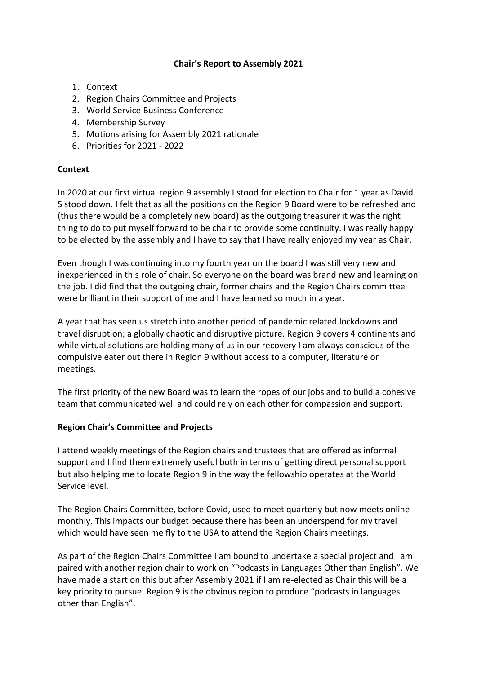# **Chair's Report to Assembly 2021**

- 1. Context
- 2. Region Chairs Committee and Projects
- 3. World Service Business Conference
- 4. Membership Survey
- 5. Motions arising for Assembly 2021 rationale
- 6. Priorities for 2021 2022

# **Context**

In 2020 at our first virtual region 9 assembly I stood for election to Chair for 1 year as David S stood down. I felt that as all the positions on the Region 9 Board were to be refreshed and (thus there would be a completely new board) as the outgoing treasurer it was the right thing to do to put myself forward to be chair to provide some continuity. I was really happy to be elected by the assembly and I have to say that I have really enjoyed my year as Chair.

Even though I was continuing into my fourth year on the board I was still very new and inexperienced in this role of chair. So everyone on the board was brand new and learning on the job. I did find that the outgoing chair, former chairs and the Region Chairs committee were brilliant in their support of me and I have learned so much in a year.

A year that has seen us stretch into another period of pandemic related lockdowns and travel disruption; a globally chaotic and disruptive picture. Region 9 covers 4 continents and while virtual solutions are holding many of us in our recovery I am always conscious of the compulsive eater out there in Region 9 without access to a computer, literature or meetings.

The first priority of the new Board was to learn the ropes of our jobs and to build a cohesive team that communicated well and could rely on each other for compassion and support.

# **Region Chair's Committee and Projects**

I attend weekly meetings of the Region chairs and trustees that are offered as informal support and I find them extremely useful both in terms of getting direct personal support but also helping me to locate Region 9 in the way the fellowship operates at the World Service level.

The Region Chairs Committee, before Covid, used to meet quarterly but now meets online monthly. This impacts our budget because there has been an underspend for my travel which would have seen me fly to the USA to attend the Region Chairs meetings.

As part of the Region Chairs Committee I am bound to undertake a special project and I am paired with another region chair to work on "Podcasts in Languages Other than English". We have made a start on this but after Assembly 2021 if I am re-elected as Chair this will be a key priority to pursue. Region 9 is the obvious region to produce "podcasts in languages other than English".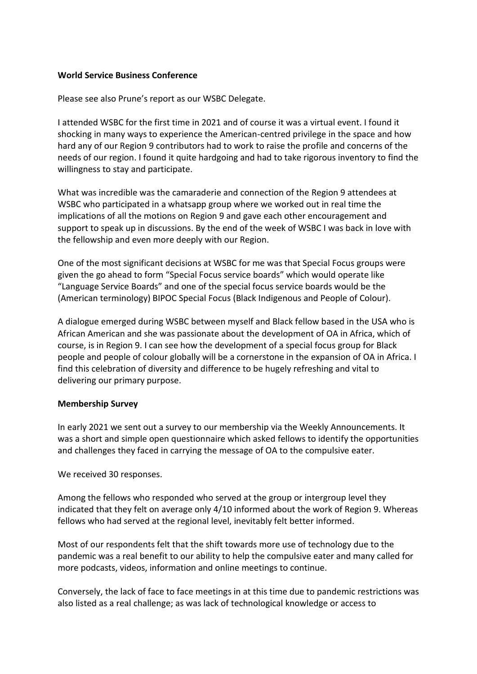#### **World Service Business Conference**

Please see also Prune's report as our WSBC Delegate.

I attended WSBC for the first time in 2021 and of course it was a virtual event. I found it shocking in many ways to experience the American-centred privilege in the space and how hard any of our Region 9 contributors had to work to raise the profile and concerns of the needs of our region. I found it quite hardgoing and had to take rigorous inventory to find the willingness to stay and participate.

What was incredible was the camaraderie and connection of the Region 9 attendees at WSBC who participated in a whatsapp group where we worked out in real time the implications of all the motions on Region 9 and gave each other encouragement and support to speak up in discussions. By the end of the week of WSBC I was back in love with the fellowship and even more deeply with our Region.

One of the most significant decisions at WSBC for me was that Special Focus groups were given the go ahead to form "Special Focus service boards" which would operate like "Language Service Boards" and one of the special focus service boards would be the (American terminology) BIPOC Special Focus (Black Indigenous and People of Colour).

A dialogue emerged during WSBC between myself and Black fellow based in the USA who is African American and she was passionate about the development of OA in Africa, which of course, is in Region 9. I can see how the development of a special focus group for Black people and people of colour globally will be a cornerstone in the expansion of OA in Africa. I find this celebration of diversity and difference to be hugely refreshing and vital to delivering our primary purpose.

#### **Membership Survey**

In early 2021 we sent out a survey to our membership via the Weekly Announcements. It was a short and simple open questionnaire which asked fellows to identify the opportunities and challenges they faced in carrying the message of OA to the compulsive eater.

We received 30 responses.

Among the fellows who responded who served at the group or intergroup level they indicated that they felt on average only 4/10 informed about the work of Region 9. Whereas fellows who had served at the regional level, inevitably felt better informed.

Most of our respondents felt that the shift towards more use of technology due to the pandemic was a real benefit to our ability to help the compulsive eater and many called for more podcasts, videos, information and online meetings to continue.

Conversely, the lack of face to face meetings in at this time due to pandemic restrictions was also listed as a real challenge; as was lack of technological knowledge or access to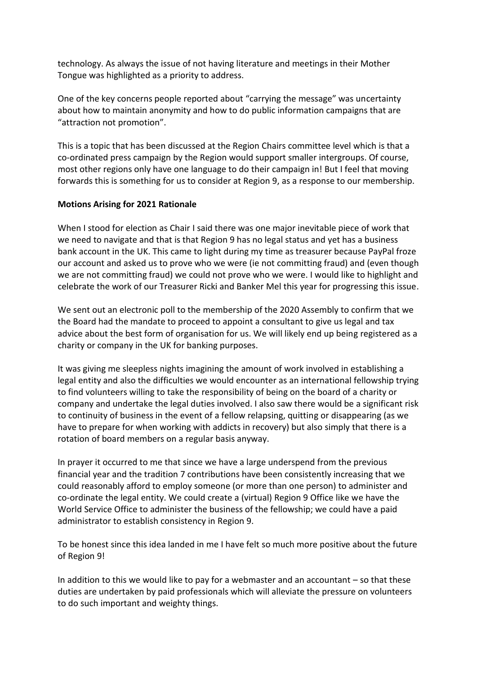technology. As always the issue of not having literature and meetings in their Mother Tongue was highlighted as a priority to address.

One of the key concerns people reported about "carrying the message" was uncertainty about how to maintain anonymity and how to do public information campaigns that are "attraction not promotion".

This is a topic that has been discussed at the Region Chairs committee level which is that a co-ordinated press campaign by the Region would support smaller intergroups. Of course, most other regions only have one language to do their campaign in! But I feel that moving forwards this is something for us to consider at Region 9, as a response to our membership.

### **Motions Arising for 2021 Rationale**

When I stood for election as Chair I said there was one major inevitable piece of work that we need to navigate and that is that Region 9 has no legal status and yet has a business bank account in the UK. This came to light during my time as treasurer because PayPal froze our account and asked us to prove who we were (ie not committing fraud) and (even though we are not committing fraud) we could not prove who we were. I would like to highlight and celebrate the work of our Treasurer Ricki and Banker Mel this year for progressing this issue.

We sent out an electronic poll to the membership of the 2020 Assembly to confirm that we the Board had the mandate to proceed to appoint a consultant to give us legal and tax advice about the best form of organisation for us. We will likely end up being registered as a charity or company in the UK for banking purposes.

It was giving me sleepless nights imagining the amount of work involved in establishing a legal entity and also the difficulties we would encounter as an international fellowship trying to find volunteers willing to take the responsibility of being on the board of a charity or company and undertake the legal duties involved. I also saw there would be a significant risk to continuity of business in the event of a fellow relapsing, quitting or disappearing (as we have to prepare for when working with addicts in recovery) but also simply that there is a rotation of board members on a regular basis anyway.

In prayer it occurred to me that since we have a large underspend from the previous financial year and the tradition 7 contributions have been consistently increasing that we could reasonably afford to employ someone (or more than one person) to administer and co-ordinate the legal entity. We could create a (virtual) Region 9 Office like we have the World Service Office to administer the business of the fellowship; we could have a paid administrator to establish consistency in Region 9.

To be honest since this idea landed in me I have felt so much more positive about the future of Region 9!

In addition to this we would like to pay for a webmaster and an accountant – so that these duties are undertaken by paid professionals which will alleviate the pressure on volunteers to do such important and weighty things.